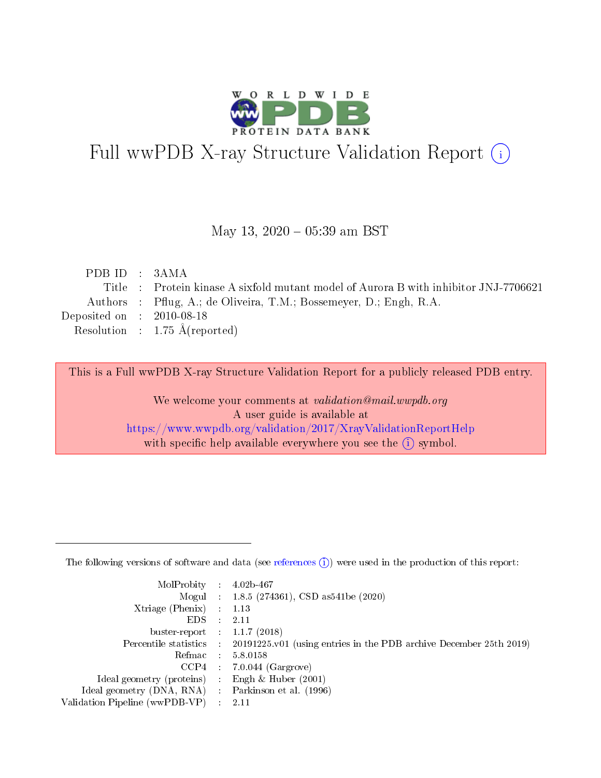

# Full wwPDB X-ray Structure Validation Report (i)

#### May 13,  $2020 - 05:39$  am BST

| PDB ID : $3AMA$             |                                                                                      |
|-----------------------------|--------------------------------------------------------------------------------------|
|                             | Title : Protein kinase A sixfold mutant model of Aurora B with inhibitor JNJ-7706621 |
|                             | Authors : Pflug, A.; de Oliveira, T.M.; Bossemeyer, D.; Engh, R.A.                   |
| Deposited on : $2010-08-18$ |                                                                                      |
|                             | Resolution : $1.75 \text{ Å}$ (reported)                                             |
|                             |                                                                                      |

This is a Full wwPDB X-ray Structure Validation Report for a publicly released PDB entry.

We welcome your comments at validation@mail.wwpdb.org A user guide is available at <https://www.wwpdb.org/validation/2017/XrayValidationReportHelp> with specific help available everywhere you see the  $(i)$  symbol.

The following versions of software and data (see [references](https://www.wwpdb.org/validation/2017/XrayValidationReportHelp#references)  $(1)$ ) were used in the production of this report:

| MolProbity :                   |               | $4.02b - 467$                                                               |
|--------------------------------|---------------|-----------------------------------------------------------------------------|
|                                |               | Mogul : $1.8.5$ (274361), CSD as 541be (2020)                               |
| $X$ triage (Phenix) :          |               | 1.13                                                                        |
| EDS.                           |               | 2.11                                                                        |
| buster-report : $1.1.7$ (2018) |               |                                                                             |
| Percentile statistics :        |               | $20191225 \text{v}01$ (using entries in the PDB archive December 25th 2019) |
| Refmac :                       |               | 5.8.0158                                                                    |
| $CCP4$ :                       |               | $7.0.044$ (Gargrove)                                                        |
| Ideal geometry (proteins) :    |               | Engh $\&$ Huber (2001)                                                      |
| Ideal geometry (DNA, RNA) :    |               | Parkinson et al. (1996)                                                     |
| Validation Pipeline (wwPDB-VP) | $\mathcal{L}$ | 2.11                                                                        |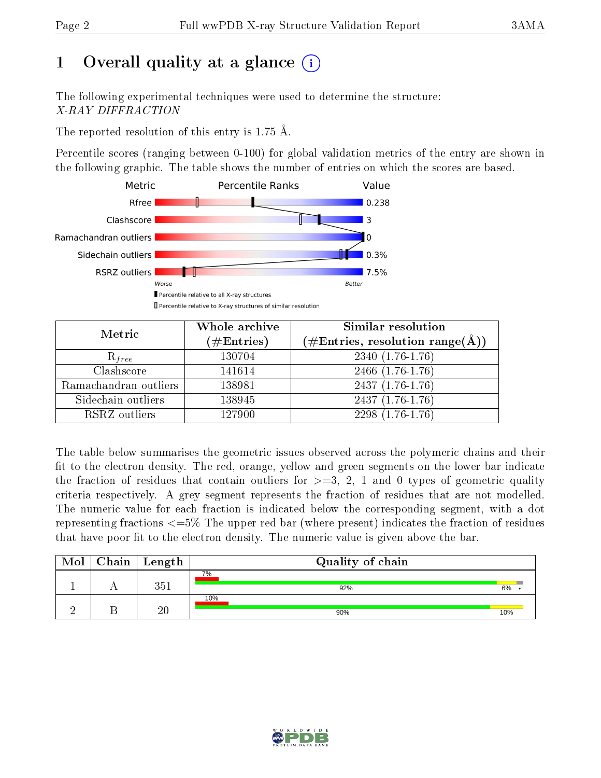# 1 [O](https://www.wwpdb.org/validation/2017/XrayValidationReportHelp#overall_quality)verall quality at a glance  $(i)$

The following experimental techniques were used to determine the structure: X-RAY DIFFRACTION

The reported resolution of this entry is 1.75 Å.

Percentile scores (ranging between 0-100) for global validation metrics of the entry are shown in the following graphic. The table shows the number of entries on which the scores are based.



| Metric                | Whole archive<br>$(\#\mathrm{Entries})$ | Similar resolution<br>$(\#\text{Entries}, \, \text{resolution range}(\textup{\AA}))$ |
|-----------------------|-----------------------------------------|--------------------------------------------------------------------------------------|
| $R_{free}$            | 130704                                  | $2340(1.76-1.76)$                                                                    |
| Clashscore            | 141614                                  | $2466$ $(1.76-1.76)$                                                                 |
| Ramachandran outliers | 138981                                  | $2437(1.76-1.76)$                                                                    |
| Sidechain outliers    | 138945                                  | $2437(1.76-1.76)$                                                                    |
| RSRZ outliers         | 127900                                  | $2298(1.76-1.76)$                                                                    |

The table below summarises the geometric issues observed across the polymeric chains and their fit to the electron density. The red, orange, yellow and green segments on the lower bar indicate the fraction of residues that contain outliers for  $\geq =3$ , 2, 1 and 0 types of geometric quality criteria respectively. A grey segment represents the fraction of residues that are not modelled. The numeric value for each fraction is indicated below the corresponding segment, with a dot representing fractions  $\epsilon=5\%$  The upper red bar (where present) indicates the fraction of residues that have poor fit to the electron density. The numeric value is given above the bar.

| Mol | $Chain$ Length | Quality of chain |     |
|-----|----------------|------------------|-----|
|     | 9⊾ี            | 7%<br>92%        | 6%  |
|     | 20             | 10%<br>90%       | 10% |

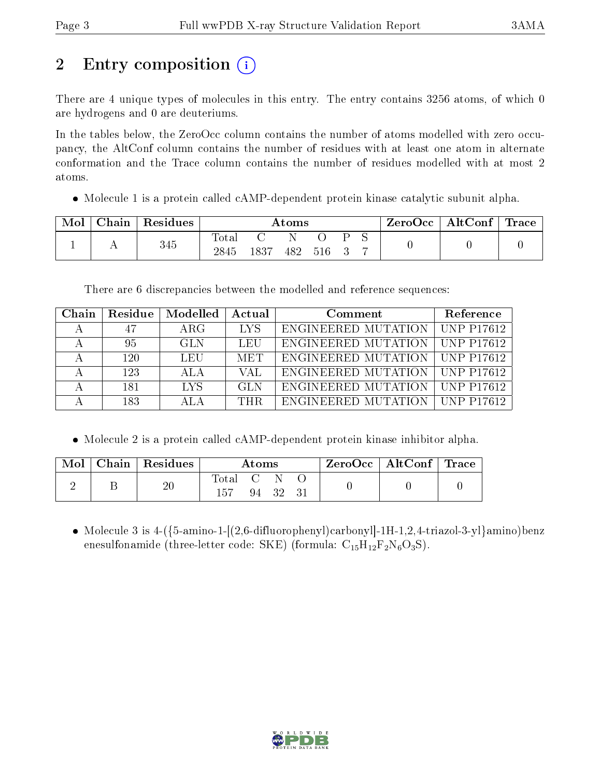# 2 Entry composition  $\left( \cdot \right)$

There are 4 unique types of molecules in this entry. The entry contains 3256 atoms, of which 0 are hydrogens and 0 are deuteriums.

In the tables below, the ZeroOcc column contains the number of atoms modelled with zero occupancy, the AltConf column contains the number of residues with at least one atom in alternate conformation and the Trace column contains the number of residues modelled with at most 2 atoms.

• Molecule 1 is a protein called cAMP-dependent protein kinase catalytic subunit alpha.

| Mol | $\text{Chain}$ | Residues | Atoms         |      |     |     |  | $ZeroOcc \mid AltConf \mid Trace \mid$ |  |  |
|-----|----------------|----------|---------------|------|-----|-----|--|----------------------------------------|--|--|
|     |                | 345      | Total<br>2845 | 1837 | 482 | 516 |  |                                        |  |  |

There are 6 discrepancies between the modelled and reference sequences:

| Chain | Residue | Modelled   | Actual     | Comment             | Reference         |
|-------|---------|------------|------------|---------------------|-------------------|
|       | 47      | ARG        | -LYS       | ENGINEERED MUTATION | <b>UNP P17612</b> |
|       | 95      | GL N       | LEU        | ENGINEERED MUTATION | <b>UNP P17612</b> |
|       | 120     | LEU        | <b>MET</b> | ENGINEERED MUTATION | <b>UNP P17612</b> |
|       | 123     | ALA        | VAL        | ENGINEERED MUTATION | <b>UNP P17612</b> |
|       | 181     | <b>IYS</b> | GL N       | ENGINEERED MUTATION | <b>UNP P17612</b> |
|       | 183     | AL A       | THR.       | ENGINEERED MUTATION | <b>UNP P17612</b> |

• Molecule 2 is a protein called cAMP-dependent protein kinase inhibitor alpha.

|  | Mol   Chain   Residues | Atoms          |          | ZeroOcc   AltConf   Trace |  |
|--|------------------------|----------------|----------|---------------------------|--|
|  | 20                     | Total C<br>157 | 94 32 31 |                           |  |

• Molecule 3 is  $4-(5\text{-amino-1-}[(2,6\text{-difluoropheny}])\text{carbonyl}[-1H-1,2,4\text{-triazol-3-y}]$ amino)benz enesulfonamide (three-letter code: SKE) (formula:  $C_{15}H_{12}F_2N_6O_3S$ ).

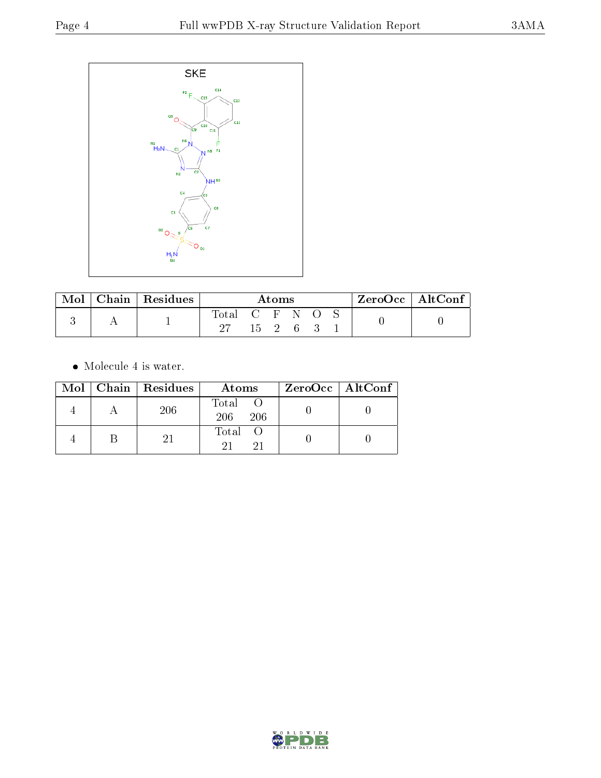

| $\bf{Mol}$ | Chain   Residues | Atoms             |                |  |  | $\frac{1}{2}$ ZeroOcc   AltConf |  |  |  |
|------------|------------------|-------------------|----------------|--|--|---------------------------------|--|--|--|
|            |                  | $\rm Total$<br>97 | CFNO<br>15 2 6 |  |  |                                 |  |  |  |

 $\bullet\,$  Molecule 4 is water.

|  | Mol   Chain   Residues | Atoms               | ZeroOcc   AltConf |
|--|------------------------|---------------------|-------------------|
|  | 206                    | Total<br>206<br>206 |                   |
|  |                        | Total O             |                   |

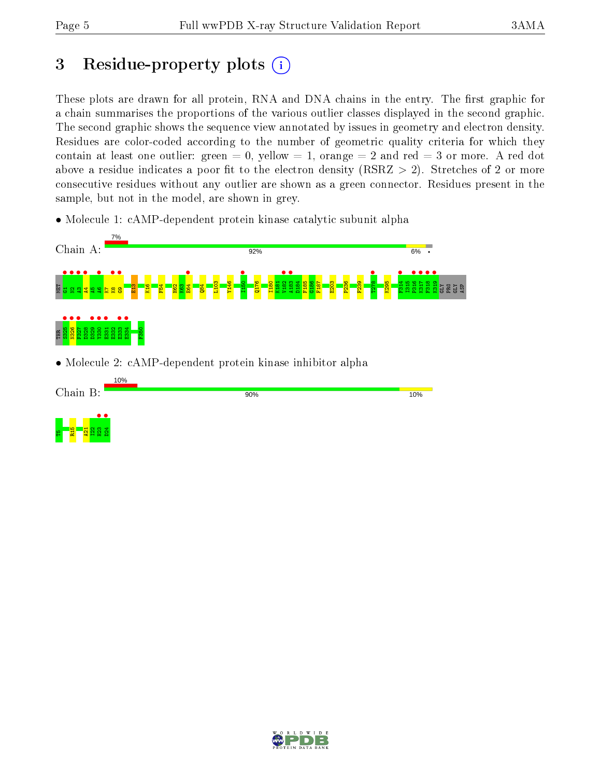## 3 Residue-property plots  $(i)$

These plots are drawn for all protein, RNA and DNA chains in the entry. The first graphic for a chain summarises the proportions of the various outlier classes displayed in the second graphic. The second graphic shows the sequence view annotated by issues in geometry and electron density. Residues are color-coded according to the number of geometric quality criteria for which they contain at least one outlier: green  $= 0$ , yellow  $= 1$ , orange  $= 2$  and red  $= 3$  or more. A red dot above a residue indicates a poor fit to the electron density (RSRZ  $> 2$ ). Stretches of 2 or more consecutive residues without any outlier are shown as a green connector. Residues present in the sample, but not in the model, are shown in grey.

• Molecule 1: cAMP-dependent protein kinase catalytic subunit alpha



• Molecule 2: cAMP-dependent protein kinase inhibitor alpha



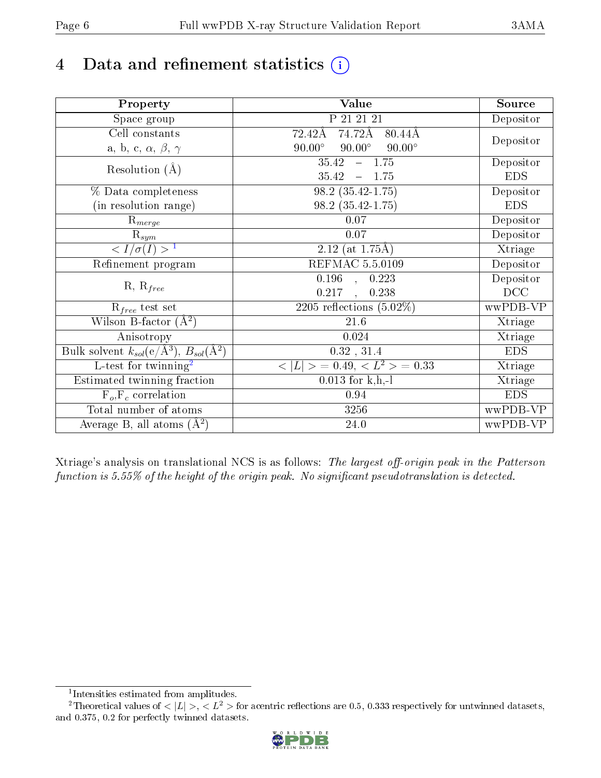# 4 Data and refinement statistics  $(i)$

| Property                                                             | Value                                           | Source     |
|----------------------------------------------------------------------|-------------------------------------------------|------------|
| Space group                                                          | P 21 21 21                                      | Depositor  |
| Cell constants                                                       | 74.72Å<br>72.42Å<br>80.44Å                      |            |
| a, b, c, $\alpha$ , $\beta$ , $\gamma$                               | $90.00^\circ$<br>$90.00^\circ$<br>$90.00^\circ$ | Depositor  |
| Resolution $(A)$                                                     | 35.42<br>$-1.75$                                | Depositor  |
|                                                                      | 35.42<br>1.75<br>$\longrightarrow$              | <b>EDS</b> |
| % Data completeness                                                  | $98.2(35.42-1.75)$                              | Depositor  |
| (in resolution range)                                                | $98.2(35.42-1.75)$                              | <b>EDS</b> |
| $\mathrm{R}_{merge}$                                                 | 0.07                                            | Depositor  |
| $\mathrm{R}_{sym}$                                                   | $0.07\,$                                        | Depositor  |
| $\sqrt{I/\sigma(I)} > 1$                                             | $2.12$ (at 1.75Å)                               | Xtriage    |
| Refinement program                                                   | <b>REFMAC 5.5.0109</b>                          | Depositor  |
|                                                                      | $\overline{0.196}$ ,<br>0.223                   | Depositor  |
| $R, R_{free}$                                                        | 0.217<br>0.238<br>$\mathbf{A}$                  | DCC        |
| $R_{free}$ test set                                                  | 2205 reflections $(5.02\%)$                     | wwPDB-VP   |
| Wilson B-factor $(A^2)$                                              | 21.6                                            | Xtriage    |
| Anisotropy                                                           | 0.024                                           | Xtriage    |
| Bulk solvent $k_{sol}(e/\mathring{A}^3)$ , $B_{sol}(\mathring{A}^2)$ | 0.32, 31.4                                      | <b>EDS</b> |
| $\overline{L-test for}$ twinning <sup>2</sup>                        | $< L >$ = 0.49, $< L2$ = 0.33                   | Xtriage    |
| Estimated twinning fraction                                          | $0.013$ for k,h,-l                              | Xtriage    |
| $F_o, F_c$ correlation                                               | 0.94                                            | <b>EDS</b> |
| Total number of atoms                                                | 3256                                            | wwPDB-VP   |
| Average B, all atoms $(A^2)$                                         | 24.0                                            | wwPDB-VP   |

Xtriage's analysis on translational NCS is as follows: The largest off-origin peak in the Patterson function is  $5.55\%$  of the height of the origin peak. No significant pseudotranslation is detected.

<sup>&</sup>lt;sup>2</sup>Theoretical values of  $\langle |L| \rangle$ ,  $\langle L^2 \rangle$  for acentric reflections are 0.5, 0.333 respectively for untwinned datasets, and 0.375, 0.2 for perfectly twinned datasets.



<span id="page-5-1"></span><span id="page-5-0"></span><sup>1</sup> Intensities estimated from amplitudes.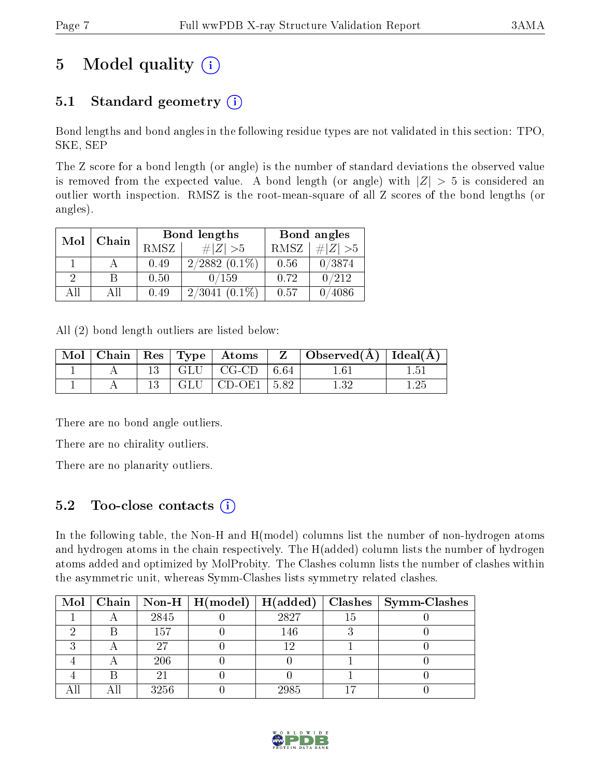# 5 Model quality  $(i)$

## 5.1 Standard geometry  $(i)$

Bond lengths and bond angles in the following residue types are not validated in this section: TPO, SKE, SEP

The Z score for a bond length (or angle) is the number of standard deviations the observed value is removed from the expected value. A bond length (or angle) with  $|Z| > 5$  is considered an outlier worth inspection. RMSZ is the root-mean-square of all Z scores of the bond lengths (or angles).

| Mol | Chain |      | <b>Bond lengths</b> | Bond angles |           |  |
|-----|-------|------|---------------------|-------------|-----------|--|
|     |       | RMSZ | # Z  > 5            | RMSZ        | # $ Z >5$ |  |
|     |       | 0.49 | $2/2882(0.1\%)$     | 0.56        | 0/3874    |  |
| 9   | B     | 0.50 | 0/159               | 0.72        | 0/212     |  |
| AП  | Αll   | 0.49 | $(0.1\%)$<br>2/3041 | 0.57        | 4086      |  |

All (2) bond length outliers are listed below:

| $\text{Mol}$ |  | $\vert$ Chain $\vert$ Res $\vert$ Type $\vert$ Atoms | $Z_{-}$ | $\Box$ Observed( $\AA$ ) $\Box$ Ideal( $\AA$ ) $\Box$ |      |
|--------------|--|------------------------------------------------------|---------|-------------------------------------------------------|------|
|              |  | $GLU$   CG-CD   6.64                                 |         | $1.61\,$                                              | 1.51 |
|              |  | $GLU$   CD-OE1   5.82                                |         | $1.32\,$                                              | 1.25 |

There are no bond angle outliers.

There are no chirality outliers.

There are no planarity outliers.

### 5.2 Too-close contacts  $\overline{a}$

In the following table, the Non-H and H(model) columns list the number of non-hydrogen atoms and hydrogen atoms in the chain respectively. The H(added) column lists the number of hydrogen atoms added and optimized by MolProbity. The Clashes column lists the number of clashes within the asymmetric unit, whereas Symm-Clashes lists symmetry related clashes.

|  |      |      |    | Mol   Chain   Non-H   H(model)   H(added)   Clashes   Symm-Clashes |
|--|------|------|----|--------------------------------------------------------------------|
|  | 2845 | 2827 | Тb |                                                                    |
|  | 157  | 146  |    |                                                                    |
|  |      | 1 ດ  |    |                                                                    |
|  | 206  |      |    |                                                                    |
|  |      |      |    |                                                                    |
|  | 3256 | 2985 |    |                                                                    |

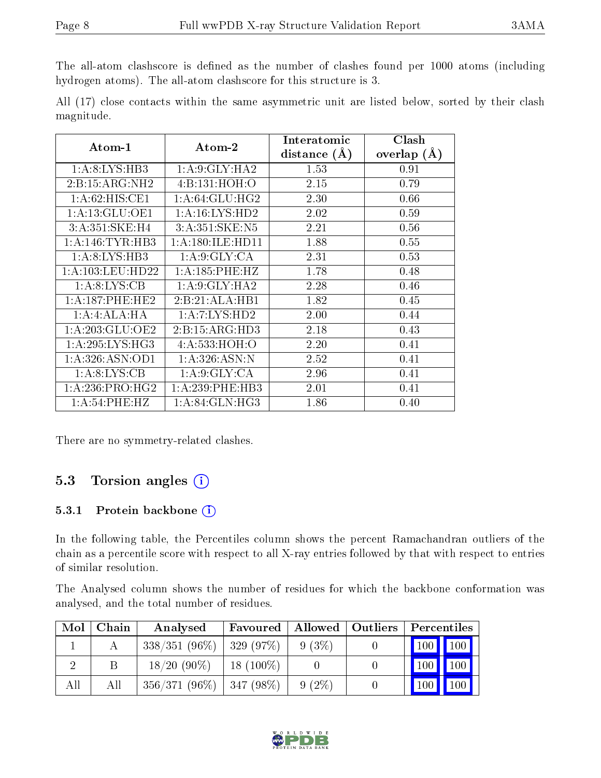The all-atom clashscore is defined as the number of clashes found per 1000 atoms (including hydrogen atoms). The all-atom clashscore for this structure is 3.

|            |  |  | All (17) close contacts within the same asymmetric unit are listed below, sorted by their clash |  |  |  |  |
|------------|--|--|-------------------------------------------------------------------------------------------------|--|--|--|--|
| magnitude. |  |  |                                                                                                 |  |  |  |  |

| $Atom-1$             | Atom-2            | Interatomic    | Clash         |
|----------------------|-------------------|----------------|---------------|
|                      |                   | distance $(A)$ | overlap $(A)$ |
| 1: A:8: LYS: HB3     | 1:A:9:GLY:HA2     | 1.53           | 0.91          |
| 2:B:15:ARG:NH2       | 4:Bi:131:HOH:O    | 2.15           | 0.79          |
| 1: A:62: HIS: CE1    | 1: A:64: GLU:HG2  | 2.30           | 0.66          |
| 1:A:13:GLU:OE1       | 1: A:16: LYS: HD2 | 2.02           | 0.59          |
| 3:A:351:SKE:H4       | 3:A:351:SKE:N5    | 2.21           | 0.56          |
| 1: A:146: TYR:HB3    | 1:A:180:ILE:HD11  | 1.88           | 0.55          |
| 1: A:8: LYS: HB3     | 1: A:9: GLY: CA   | 2.31           | 0.53          |
| 1: A: 103: LEU: HD22 | 1:A:185:PHE:HZ    | 1.78           | 0.48          |
| 1: A:8: LYS: CB      | 1:A:9:GLY:HA2     | 2.28           | 0.46          |
| 1: A: 187: PHE: HE2  | 2:B:21:ALA:HB1    | 1.82           | 0.45          |
| 1:A:4:ALA:HA         | 1: A: 7: LYS: HD2 | 2.00           | 0.44          |
| 1:A:203:GLU:OE2      | 2:B:15:ARG:HD3    | 2.18           | 0.43          |
| 1: A:295:LYS:HG3     | 4: A: 533: HOH:O  | 2.20           | 0.41          |
| 1: A:326: ASN:OD1    | 1: A:326: ASN:N   | 2.52           | 0.41          |
| 1: A:8: LYS: CB      | 1: A:9: GLY: CA   | 2.96           | 0.41          |
| 1:A:236:PRO:HG2      | 1:A:239:PHE:HB3   | 2.01           | 0.41          |
| 1: A:54:PHE:HZ       | $1:$ A:84:GLN:HG3 | 1.86           | 0.40          |

There are no symmetry-related clashes.

### 5.3 Torsion angles (i)

#### 5.3.1 Protein backbone (i)

In the following table, the Percentiles column shows the percent Ramachandran outliers of the chain as a percentile score with respect to all X-ray entries followed by that with respect to entries of similar resolution.

The Analysed column shows the number of residues for which the backbone conformation was analysed, and the total number of residues.

| Mol | Chain | Analysed                     | Favoured     |          | Allowed   Outliers | Percentiles |     |
|-----|-------|------------------------------|--------------|----------|--------------------|-------------|-----|
|     |       | $338/351(96\%)$   329 (97\%) |              | $9(3\%)$ |                    | 100 100     |     |
|     |       | $18/20(90\%)$                | $18(100\%)$  |          |                    | <b>100</b>  | 100 |
| All | All   | $356/371(96\%)$              | $ 347(98\%)$ | $9(2\%)$ |                    | 100         | 100 |

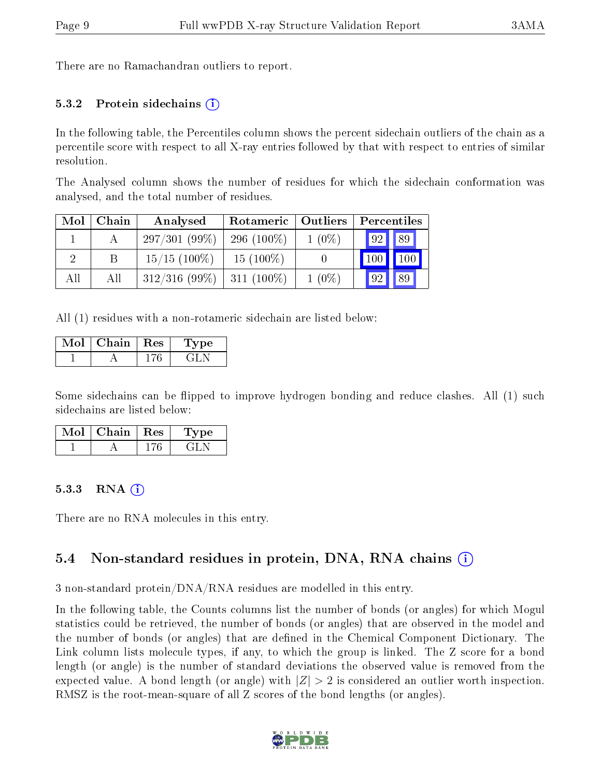There are no Ramachandran outliers to report.

#### 5.3.2 Protein sidechains  $(i)$

In the following table, the Percentiles column shows the percent sidechain outliers of the chain as a percentile score with respect to all X-ray entries followed by that with respect to entries of similar resolution.

The Analysed column shows the number of residues for which the sidechain conformation was analysed, and the total number of residues.

| Mol | Chain | Analysed        | Rotameric     | Outliers |                       |
|-----|-------|-----------------|---------------|----------|-----------------------|
|     |       | 297/301(99%)    | 296 $(100\%)$ | $1(0\%)$ | $\parallel$ 89<br> 92 |
| റ   |       | $15/15$ (100\%) | $15(100\%)$   |          | 100<br>100            |
| All | All   | $312/316$ (99%) | $311(100\%)$  | $1(0\%)$ | 89<br> 92             |

All (1) residues with a non-rotameric sidechain are listed below:

| Mol | Chain | $\perp$ Res | 'Type |  |
|-----|-------|-------------|-------|--|
|     |       |             | $-11$ |  |

Some sidechains can be flipped to improve hydrogen bonding and reduce clashes. All (1) such sidechains are listed below:

| Mol | $\mid$ Chain $\mid$ Res | Type  |  |
|-----|-------------------------|-------|--|
|     |                         | GH IN |  |

#### 5.3.3 RNA  $(i)$

There are no RNA molecules in this entry.

### 5.4 Non-standard residues in protein, DNA, RNA chains  $(i)$

3 non-standard protein/DNA/RNA residues are modelled in this entry.

In the following table, the Counts columns list the number of bonds (or angles) for which Mogul statistics could be retrieved, the number of bonds (or angles) that are observed in the model and the number of bonds (or angles) that are defined in the Chemical Component Dictionary. The Link column lists molecule types, if any, to which the group is linked. The Z score for a bond length (or angle) is the number of standard deviations the observed value is removed from the expected value. A bond length (or angle) with  $|Z| > 2$  is considered an outlier worth inspection. RMSZ is the root-mean-square of all Z scores of the bond lengths (or angles).

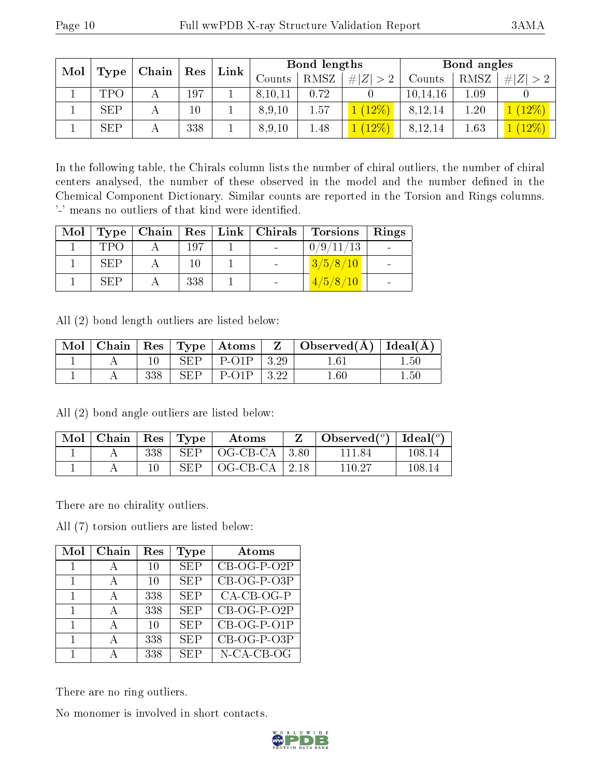| Mol |            | Chain | Res    | Link |         | Bond lengths |            |            | Bond angles |        |
|-----|------------|-------|--------|------|---------|--------------|------------|------------|-------------|--------|
|     | Type       |       |        |      | Counts  | <b>RMSZ</b>  | Z<br>$#^+$ | Counts     | RMSZ        | #      |
|     | <b>TPO</b> |       | 197    |      | 8,10,11 | 0.72         |            | 10, 14, 16 | 0.1         |        |
|     | <b>SEP</b> |       | $10\,$ |      | 8,9,10  | 1.57         | $12\%$     | 8,12,14    | 1.20        | $12\%$ |
|     | <b>SEP</b> |       | 338    |      | 8,9,10  | 1.48         | $12\%$     | 8,12,14    | 1.63        |        |

In the following table, the Chirals column lists the number of chiral outliers, the number of chiral centers analysed, the number of these observed in the model and the number defined in the Chemical Component Dictionary. Similar counts are reported in the Torsion and Rings columns. '-' means no outliers of that kind were identified.

| Mol |     |     | $\vert$ Type $\vert$ Chain $\vert$ Res $\vert$ Link $\vert$ Chirals | <b>Torsions</b>    | . Rings |
|-----|-----|-----|---------------------------------------------------------------------|--------------------|---------|
|     | TPO | 197 |                                                                     | 0/9/11/13          |         |
|     | SEP | 10  |                                                                     | 3/5/8/10           |         |
|     | SEP | 338 |                                                                     | $\frac{4}{5/8/10}$ |         |

All (2) bond length outliers are listed below:

| Mol |     |            | Chain   Res   Type   Atoms | $Z \mid$ Observed( $\AA$ )   Ideal( $\AA$ ) |          |
|-----|-----|------------|----------------------------|---------------------------------------------|----------|
|     |     | SEP        | $P-O1P$   3.29             | $1.61\,$                                    | $1.50\,$ |
|     | 338 | <b>SEP</b> | $P-O1P$   3.22             | $1.60\,$                                    | $1.50\,$ |

All (2) bond angle outliers are listed below:

| Mol | $\vert$ Chain $\vert$ Res $\vert$ Type $\vert$ |     |            | Atoms             | Observed $(°)$ | Ideal( $^{\circ}$ ) |
|-----|------------------------------------------------|-----|------------|-------------------|----------------|---------------------|
|     |                                                | 338 | <b>SEP</b> | $OG-CB-CA$   3.80 | 111 84         | 108.14              |
|     |                                                |     | SEP        | $OG-CB-CA$   2.18 | 110.27         | 108.14              |

There are no chirality outliers.

All (7) torsion outliers are listed below:

| Mol | Chain | Res | Type       | Atoms         |
|-----|-------|-----|------------|---------------|
|     | А     | 10  | <b>SEP</b> | $CB-OG-P-O2P$ |
|     |       | 10  | <b>SEP</b> | CB-OG-P-O3P   |
|     | A     | 338 | <b>SEP</b> | $CA-CB-OG-P$  |
|     | А     | 338 | <b>SEP</b> | $CB-OG-P-O2P$ |
|     | А     | 10  | <b>SEP</b> | CB-OG-P-O1P   |
|     | А     | 338 | <b>SEP</b> | $CB-OG-P-O3P$ |
|     |       | 338 | <b>SEP</b> | N-CA-CB-OG    |

There are no ring outliers.

No monomer is involved in short contacts.

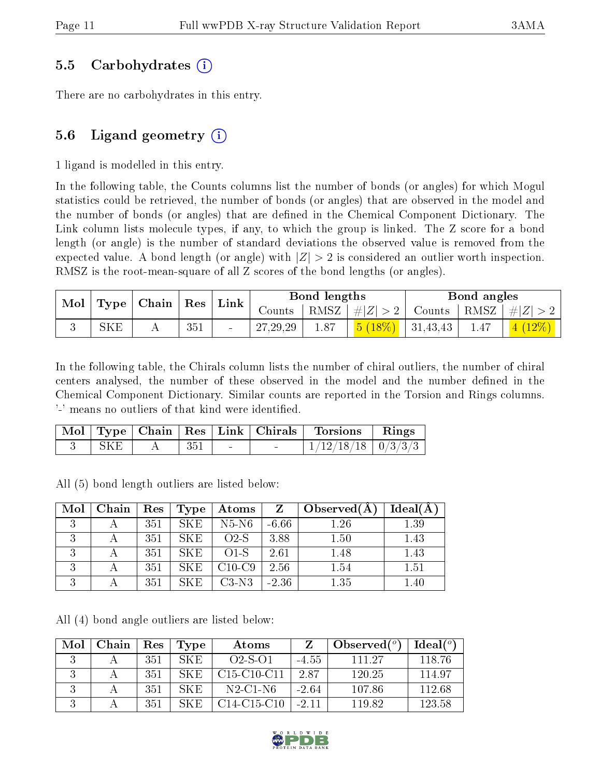#### 5.5 Carbohydrates (i)

There are no carbohydrates in this entry.

### 5.6 Ligand geometry  $(i)$

1 ligand is modelled in this entry.

In the following table, the Counts columns list the number of bonds (or angles) for which Mogul statistics could be retrieved, the number of bonds (or angles) that are observed in the model and the number of bonds (or angles) that are defined in the Chemical Component Dictionary. The Link column lists molecule types, if any, to which the group is linked. The Z score for a bond length (or angle) is the number of standard deviations the observed value is removed from the expected value. A bond length (or angle) with  $|Z| > 2$  is considered an outlier worth inspection. RMSZ is the root-mean-square of all Z scores of the bond lengths (or angles).

| $\mid$ Mol $\mid$ Type $\mid$ Chain $\mid$ Res $\mid$ Link $\mid$ |     |     |            | Bond lengths |                                                                                    | Bond angles |                                  |
|-------------------------------------------------------------------|-----|-----|------------|--------------|------------------------------------------------------------------------------------|-------------|----------------------------------|
|                                                                   |     |     | Counts     |              | RMSZ   $\# Z  > 2$                                                                 |             | Counts   RMSZ $\vert \#  Z  > 2$ |
|                                                                   | SKE | 351 | 27, 29, 29 |              | $\begin{array}{ c c c c c c c c } \hline 5 (18\%) & 31,43,43 \\\hline \end{array}$ | 1.47        | $\mid$ 4 $(12\%) \mid$           |

In the following table, the Chirals column lists the number of chiral outliers, the number of chiral centers analysed, the number of these observed in the model and the number defined in the Chemical Component Dictionary. Similar counts are reported in the Torsion and Rings columns. '-' means no outliers of that kind were identified.

|      |     | Mol   Type   Chain   Res   Link   Chirals | <b>Torsions</b>          | $\parallel$ Rings |
|------|-----|-------------------------------------------|--------------------------|-------------------|
| SK E | 351 | $\sim$                                    | $1/12/18/18$   $0/3/3/3$ |                   |

All (5) bond length outliers are listed below:

| Mol      | Chain | Res | Type | Atoms    | Z       | Observed $(A)$ | $Ideal(\AA)$ |
|----------|-------|-----|------|----------|---------|----------------|--------------|
| $\Omega$ |       | 351 | SKE  | $N5-N6$  | $-6.66$ | 1.26           | 1.39         |
|          |       | 351 | SKE. | $O2-S$   | 3.88    | 1.50           | 1.43         |
|          |       | 351 | SKE. | $O1-S$   | 2.61    | 1.48           | 1.43         |
|          |       | 351 | SKE. | $C10-C9$ | 2.56    | 1.54           | 1.51         |
|          |       | 351 | SKE. | $C3-N3$  | $-2.36$ | 1.35           | $1.40\,$     |

All (4) bond angle outliers are listed below:

| Mol | Chain | Res | Type | Atoms         |         | Observed $(°)$ | Ideal(°) |
|-----|-------|-----|------|---------------|---------|----------------|----------|
|     |       | 351 | SKE. | $O2-S-O1$     | $-4.55$ | 111 27         | 118.76   |
|     |       | 351 | SK E | $C15-C10-C11$ | 2.87    | 120.25         | 114.97   |
|     |       | 351 | SKE. | $N2$ -C1-N6   | $-264$  | 107.86         | 112.68   |
|     |       | 351 | SK E | $C14-C15-C10$ | $-2.11$ | 119.82         | 123.58   |

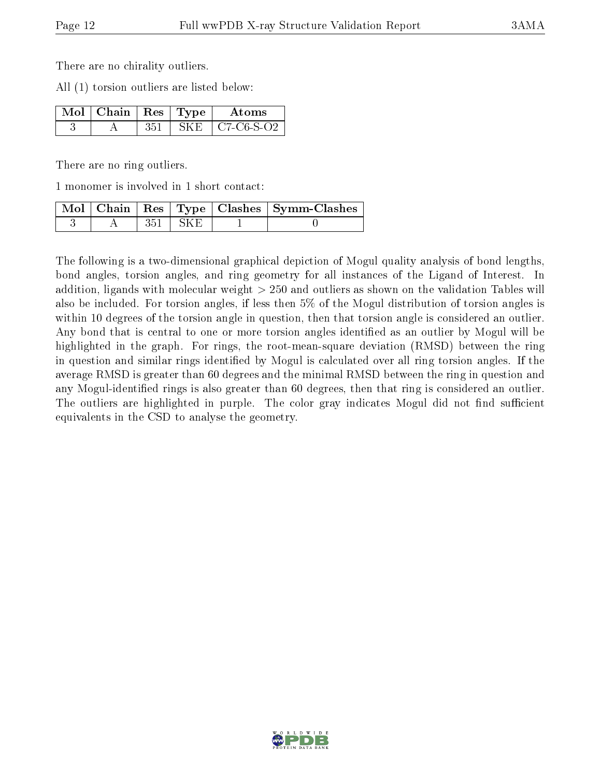There are no chirality outliers.

All (1) torsion outliers are listed below:

| $\sqrt{\text{Mol}}$   Chain   Res   Type $\sqrt{\text{Mol}}$ |        | Atoms      |
|--------------------------------------------------------------|--------|------------|
|                                                              | – SK E | C7-C6-S-O2 |

There are no ring outliers.

1 monomer is involved in 1 short contact:

|  |             | Mol   Chain   Res   Type   Clashes   Symm-Clashes |
|--|-------------|---------------------------------------------------|
|  | $351 + SKE$ |                                                   |

The following is a two-dimensional graphical depiction of Mogul quality analysis of bond lengths, bond angles, torsion angles, and ring geometry for all instances of the Ligand of Interest. In addition, ligands with molecular weight > 250 and outliers as shown on the validation Tables will also be included. For torsion angles, if less then 5% of the Mogul distribution of torsion angles is within 10 degrees of the torsion angle in question, then that torsion angle is considered an outlier. Any bond that is central to one or more torsion angles identified as an outlier by Mogul will be highlighted in the graph. For rings, the root-mean-square deviation (RMSD) between the ring in question and similar rings identified by Mogul is calculated over all ring torsion angles. If the average RMSD is greater than 60 degrees and the minimal RMSD between the ring in question and any Mogul-identified rings is also greater than 60 degrees, then that ring is considered an outlier. The outliers are highlighted in purple. The color gray indicates Mogul did not find sufficient equivalents in the CSD to analyse the geometry.

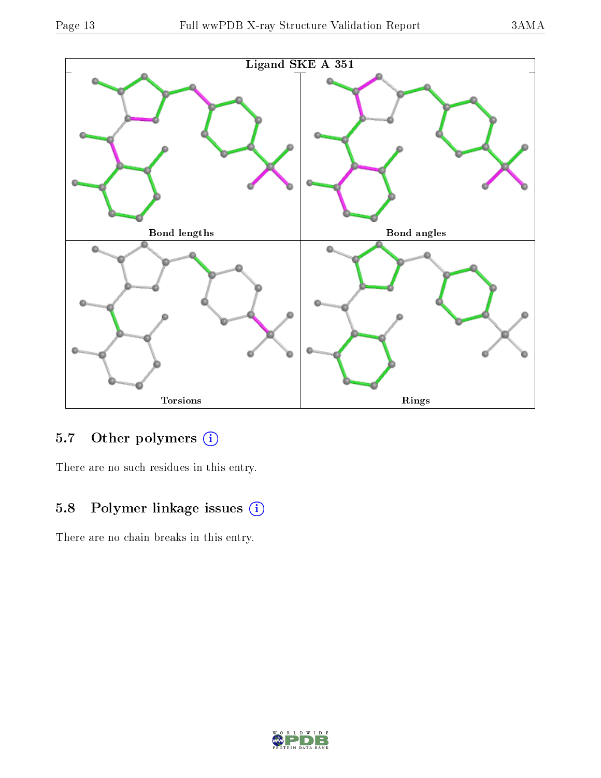

## 5.7 [O](https://www.wwpdb.org/validation/2017/XrayValidationReportHelp#nonstandard_residues_and_ligands)ther polymers (i)

There are no such residues in this entry.

## 5.8 Polymer linkage issues (i)

There are no chain breaks in this entry.

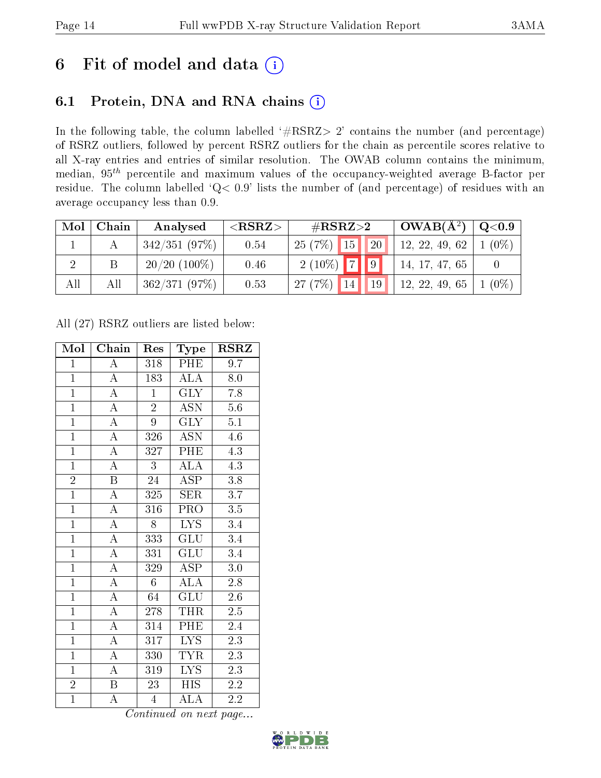## 6 Fit of model and data  $(i)$

## 6.1 Protein, DNA and RNA chains  $(i)$

In the following table, the column labelled  $#RSRZ> 2'$  contains the number (and percentage) of RSRZ outliers, followed by percent RSRZ outliers for the chain as percentile scores relative to all X-ray entries and entries of similar resolution. The OWAB column contains the minimum, median,  $95<sup>th</sup>$  percentile and maximum values of the occupancy-weighted average B-factor per residue. The column labelled ' $Q< 0.9$ ' lists the number of (and percentage) of residues with an average occupancy less than 0.9.

| Mol | Chain | Analysed        | ${ <\hspace{-1.5pt}{\mathrm{RSRZ}} \hspace{-1.5pt}>}$ | # $RSRZ>2$                | $OWAB(A^2)$    | $\mathrm{Q}\texttt{<}0.9$ |
|-----|-------|-----------------|-------------------------------------------------------|---------------------------|----------------|---------------------------|
|     |       | 342/351(97%)    | 0.54                                                  | $25(7%)$ 15<br><b>20</b>  | 12, 22, 49, 62 | $(0\%)$                   |
|     |       | $20/20$ (100\%) | 0.46                                                  | $2(10\%)$ 7 9             | 14, 17, 47, 65 |                           |
| All | All   | 362/371(97%)    | 0.53                                                  | 27(7%)<br>19 <sup>°</sup> | 12, 22, 49, 65 | $(0\%)$                   |

All (27) RSRZ outliers are listed below:

| Mol            | Chain                   | Res             | Type                      | $\rm \bf{RSRZ}$  |
|----------------|-------------------------|-----------------|---------------------------|------------------|
| $\mathbf{1}$   | $\overline{\rm A}$      | 318             | PHE                       | 9.7              |
| $\overline{1}$ | $\overline{A}$          | 183             | $\overline{\text{ALA}}$   | 8.0              |
| $\overline{1}$ | $\overline{A}$          | $\mathbf{1}$    | $\overline{\text{GLY}}$   | 7.8              |
| $\overline{1}$ | $\overline{\rm A}$      | $\overline{2}$  | <b>ASN</b>                | $5.6\,$          |
| $\overline{1}$ | $\overline{\rm A}$      | $\overline{9}$  | $\overline{\text{GLY}}$   | $\overline{5.1}$ |
| $\overline{1}$ | $\overline{\rm A}$      | 326             | <b>ASN</b>                | $4.\overline{6}$ |
| $\overline{1}$ | $\overline{\mathbf{A}}$ | 327             | PHE                       | 4.3              |
| $\overline{1}$ | $\overline{\rm A}$      | 3               | $\overline{\text{ALA}}$   | $\overline{4.3}$ |
| $\overline{2}$ | $\overline{\mathrm{B}}$ | 24              | <b>ASP</b>                | $\overline{3.8}$ |
| $\overline{1}$ | $\overline{A}$          | 325             | $\overline{\text{SER}}$   | $\overline{3.7}$ |
| $\overline{1}$ | $\overline{\rm A}$      | 316             | PRO                       | $\overline{3.5}$ |
| $\overline{1}$ | $\overline{A}$          | 8               | $\overline{\text{LYS}}$   | 3.4              |
| $\overline{1}$ | $\overline{A}$          | 333             | GLU                       | 3.4              |
| $\overline{1}$ | $\overline{\rm A}$      | 331             | $\overline{\text{GLU}}$   | 3.4              |
| $\overline{1}$ | $\overline{A}$          | 329             | $\overline{\text{ASP}}$   | $\overline{3.0}$ |
| $\mathbf{1}$   | $\overline{\rm A}$      | $6\phantom{.}$  | $\overline{\rm ALA}$      | $2.8\,$          |
| $\overline{1}$ | $\overline{\rm A}$      | $\overline{64}$ | $\overline{\mathrm{GLU}}$ | $\overline{2.6}$ |
| $\mathbf{1}$   | $\overline{\rm A}$      | 278             | THR                       | $2.5\,$          |
| $\overline{1}$ | $\overline{\rm A}$      | 314             | PHE                       | 2.4              |
| $\overline{1}$ | $\overline{\rm A}$      | 317             | $\overline{\text{LYS}}$   | $\overline{2.3}$ |
| $\overline{1}$ | $\overline{\rm A}$      | 330             | <b>TYR</b>                | 2.3              |
| $\mathbf{1}$   | $\overline{\rm A}$      | 319             | $\overline{\text{LYS}}$   | $2.\overline{3}$ |
| $\overline{2}$ | $\overline{B}$          | 23              | <b>HIS</b>                | 2.2              |
| $\overline{1}$ | $\overline{\rm A}$      | $\overline{4}$  | $\overline{\rm ALA}$      | 2.2              |

Continued on next page...

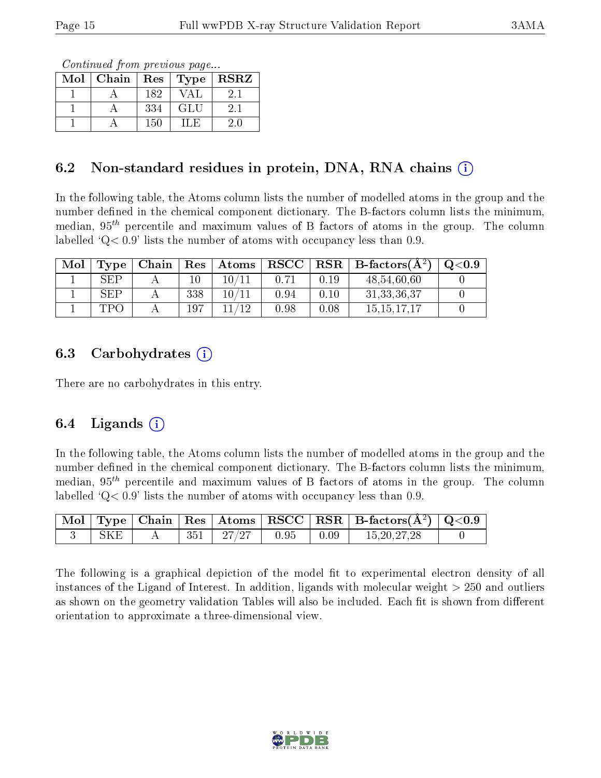Continued from previous page...

| Mol | Chain | Res | $\lceil$ Type $\rceil$ | <b>RSRZ</b> |
|-----|-------|-----|------------------------|-------------|
|     |       | 182 |                        |             |
|     |       | 334 | GLU                    | 21          |
|     |       | 150 |                        |             |

#### 6.2 Non-standard residues in protein, DNA, RNA chains  $(i)$

In the following table, the Atoms column lists the number of modelled atoms in the group and the number defined in the chemical component dictionary. The B-factors column lists the minimum, median,  $95<sup>th</sup>$  percentile and maximum values of B factors of atoms in the group. The column labelled  $^{\circ}Q<0.9'$  lists the number of atoms with occupancy less than 0.9.

| Mol | Type | Chain | $\operatorname{Res}$ | $\mid$ Atoms          | $_{\rm RSCC}$ | $_{\rm RSR}$ | $\perp$ B-factors( $\rm \AA^2$ ) | $\mathrm{O}{<}0.9$ |
|-----|------|-------|----------------------|-----------------------|---------------|--------------|----------------------------------|--------------------|
|     | SEP  |       |                      |                       | 0.71          | 0.19         | 48,54,60,60                      |                    |
|     | SEP. |       | 338                  | $10\,/\allowbreak 11$ | 0.94          | 0.10         | 31, 33, 36, 37                   |                    |
|     | TPO  |       | 197                  |                       | 0.98          | 0.08         | 15.15.17.17                      |                    |

#### 6.3 Carbohydrates  $(i)$

There are no carbohydrates in this entry.

### 6.4 Ligands  $(i)$

In the following table, the Atoms column lists the number of modelled atoms in the group and the number defined in the chemical component dictionary. The B-factors column lists the minimum, median,  $95<sup>th</sup>$  percentile and maximum values of B factors of atoms in the group. The column labelled  $Q< 0.9$  lists the number of atoms with occupancy less than 0.9.

|            |  |                                                                                   |                                     | $\boxed{\text{ Mol}}$ Type   Chain   Res   Atoms   RSCC   RSR   B-factors $(\AA^2)$   Q<0.9 |  |
|------------|--|-----------------------------------------------------------------------------------|-------------------------------------|---------------------------------------------------------------------------------------------|--|
| <b>SKE</b> |  | $\begin{array}{ c c c c c c c c } \hline 351 & 27/27 & 0.95 \ \hline \end{array}$ | $\begin{array}{c} 0.09 \end{array}$ | 15, 20, 27, 28                                                                              |  |

The following is a graphical depiction of the model fit to experimental electron density of all instances of the Ligand of Interest. In addition, ligands with molecular weight > 250 and outliers as shown on the geometry validation Tables will also be included. Each fit is shown from different orientation to approximate a three-dimensional view.